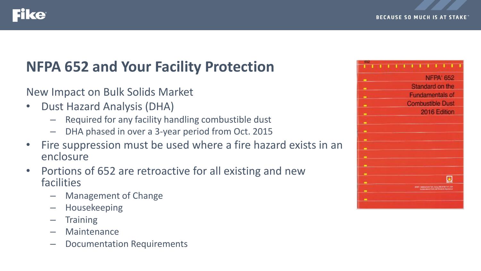

### ce

## **NFPA 652 and Your Facility Protection**

New Impact on Bulk Solids Market

- Dust Hazard Analysis (DHA)
	- Required for any facility handling combustible dust
	- DHA phased in over a 3-year period from Oct. 2015
- Fire suppression must be used where a fire hazard exists in an enclosure
- Portions of 652 are retroactive for all existing and new facilities
	- Management of Change
	- Housekeeping
	- Training
	- Maintenance
	- Documentation Requirements

| <b>NFPA 652</b>                                                                                                 |
|-----------------------------------------------------------------------------------------------------------------|
| ▬                                                                                                               |
| Standard on the<br>-                                                                                            |
| <b>Fundamentals of</b><br>▬                                                                                     |
| <b>Combustible Dust</b><br>-                                                                                    |
| 2016 Edition<br>▬                                                                                               |
| ▬                                                                                                               |
| ▬                                                                                                               |
| ▬                                                                                                               |
| -                                                                                                               |
| -                                                                                                               |
| ▬                                                                                                               |
| ▬                                                                                                               |
| ▬                                                                                                               |
| TRIVIT, Library Ford, Torris and J. (1990-1471, 1944)<br><b>Ja been usual in Claim and Trendom Organization</b> |
| ▬                                                                                                               |
| -                                                                                                               |
|                                                                                                                 |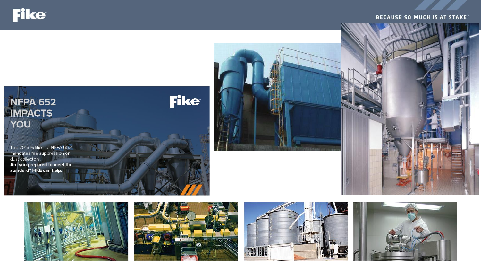**Fike** 

#### **BECAUSE SO MUCH IS AT STAKE**











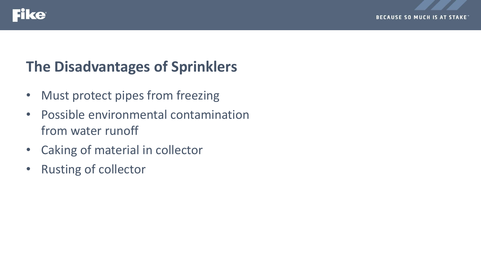![](_page_2_Picture_0.jpeg)

### ike

## **The Disadvantages of Sprinklers**

- Must protect pipes from freezing
- Possible environmental contamination from water runoff
- Caking of material in collector
- Rusting of collector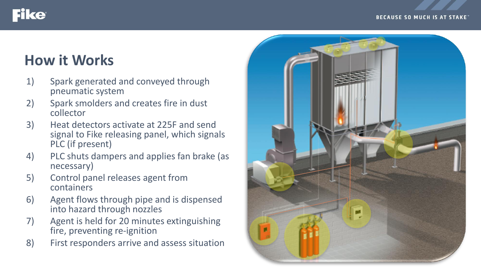#### **BECAUSE SO MUCH IS AT STAKE**

# **How it Works**

**Fike** 

- 1) Spark generated and conveyed through pneumatic system
- 2) Spark smolders and creates fire in dust collector
- 3) Heat detectors activate at 225F and send signal to Fike releasing panel, which signals PLC (if present)
- 4) PLC shuts dampers and applies fan brake (as necessary)
- 5) Control panel releases agent from containers
- 6) Agent flows through pipe and is dispensed into hazard through nozzles
- 7) Agent is held for 20 minutes extinguishing fire, preventing re-ignition
- 8) First responders arrive and assess situation

![](_page_3_Picture_10.jpeg)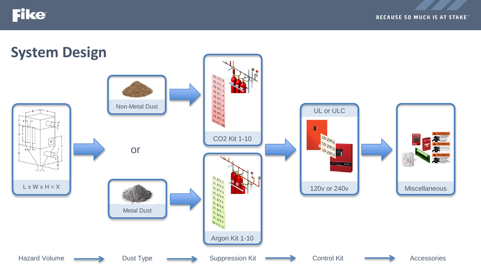**Fike** 

![](_page_4_Figure_2.jpeg)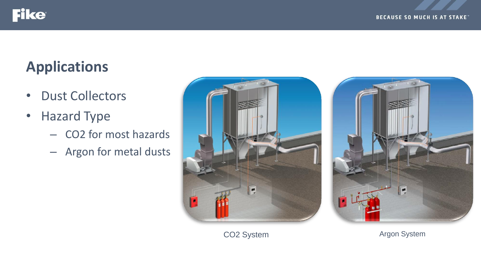![](_page_5_Picture_0.jpeg)

# **Applications**

- Dust Collectors
- Hazard Type
	- CO2 for most hazards
	- Argon for metal dusts

![](_page_5_Picture_7.jpeg)

![](_page_5_Picture_8.jpeg)

CO2 System **Argon** System